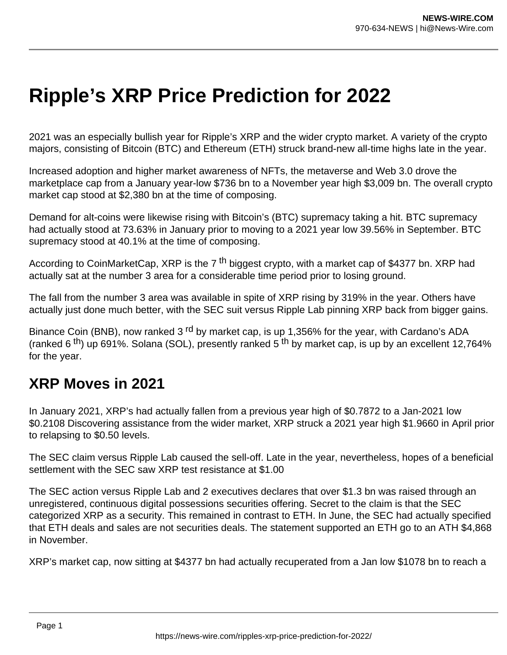## **Ripple's XRP Price Prediction for 2022**

2021 was an especially bullish year for Ripple's XRP and the wider crypto market. A variety of the crypto majors, consisting of Bitcoin (BTC) and Ethereum (ETH) struck brand-new all-time highs late in the year.

Increased adoption and higher market awareness of NFTs, the metaverse and Web 3.0 drove the marketplace cap from a January year-low \$736 bn to a November year high \$3,009 bn. The overall crypto market cap stood at \$2,380 bn at the time of composing.

Demand for alt-coins were likewise rising with Bitcoin's (BTC) supremacy taking a hit. BTC supremacy had actually stood at 73.63% in January prior to moving to a 2021 year low 39.56% in September. BTC supremacy stood at 40.1% at the time of composing.

According to CoinMarketCap, XRP is the 7<sup>th</sup> biggest crypto, with a market cap of \$4377 bn. XRP had actually sat at the number 3 area for a considerable time period prior to losing ground.

The fall from the number 3 area was available in spite of XRP rising by 319% in the year. Others have actually just done much better, with the SEC suit versus Ripple Lab pinning XRP back from bigger gains.

Binance Coin (BNB), now ranked 3<sup>rd</sup> by market cap, is up 1,356% for the year, with Cardano's ADA (ranked 6<sup>th</sup>) up 691%. Solana (SOL), presently ranked 5<sup>th</sup> by market cap, is up by an excellent 12,764% for the year.

## **XRP Moves in 2021**

In January 2021, XRP's had actually fallen from a previous year high of \$0.7872 to a Jan-2021 low \$0.2108 Discovering assistance from the wider market, XRP struck a 2021 year high \$1.9660 in April prior to relapsing to \$0.50 levels.

The SEC claim versus Ripple Lab caused the sell-off. Late in the year, nevertheless, hopes of a beneficial settlement with the SEC saw XRP test resistance at \$1.00

The SEC action versus Ripple Lab and 2 executives declares that over \$1.3 bn was raised through an unregistered, continuous digital possessions securities offering. Secret to the claim is that the SEC categorized XRP as a security. This remained in contrast to ETH. In June, the SEC had actually specified that ETH deals and sales are not securities deals. The statement supported an ETH go to an ATH \$4,868 in November.

XRP's market cap, now sitting at \$4377 bn had actually recuperated from a Jan low \$1078 bn to reach a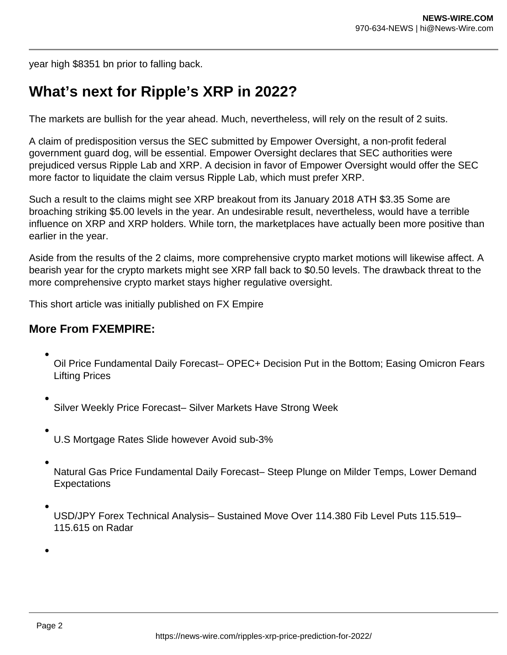year high \$8351 bn prior to falling back.

## **What's next for Ripple's XRP in 2022?**

The markets are bullish for the year ahead. Much, nevertheless, will rely on the result of 2 suits.

A claim of predisposition versus the SEC submitted by Empower Oversight, a non-profit federal government guard dog, will be essential. Empower Oversight declares that SEC authorities were prejudiced versus Ripple Lab and XRP. A decision in favor of Empower Oversight would offer the SEC more factor to liquidate the claim versus Ripple Lab, which must prefer XRP.

Such a result to the claims might see XRP breakout from its January 2018 ATH \$3.35 Some are broaching striking \$5.00 levels in the year. An undesirable result, nevertheless, would have a terrible influence on XRP and XRP holders. While torn, the marketplaces have actually been more positive than earlier in the year.

Aside from the results of the 2 claims, more comprehensive crypto market motions will likewise affect. A bearish year for the crypto markets might see XRP fall back to \$0.50 levels. The drawback threat to the more comprehensive crypto market stays higher regulative oversight.

This short article was initially published on FX Empire

## **More From FXEMPIRE:**

- Oil Price Fundamental Daily Forecast– OPEC+ Decision Put in the Bottom; Easing Omicron Fears Lifting Prices
- Silver Weekly Price Forecast– Silver Markets Have Strong Week
- U.S Mortgage Rates Slide however Avoid sub-3%
- Natural Gas Price Fundamental Daily Forecast– Steep Plunge on Milder Temps, Lower Demand **Expectations**
- USD/JPY Forex Technical Analysis– Sustained Move Over 114.380 Fib Level Puts 115.519– 115.615 on Radar